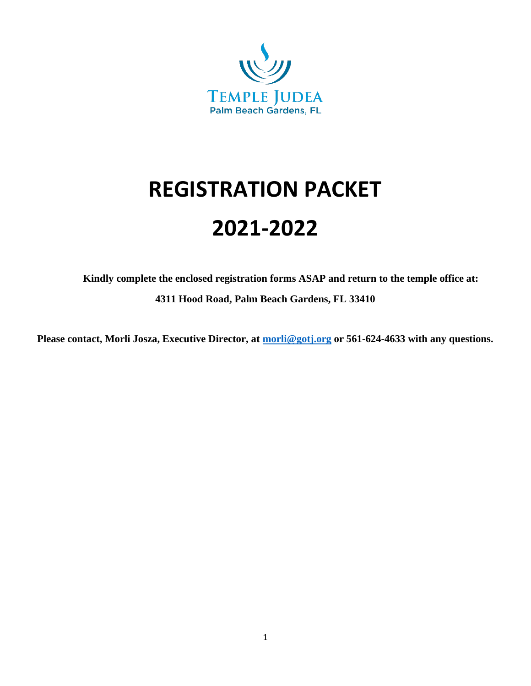

# **REGISTRATION PACKET 2021-2022**

**Kindly complete the enclosed registration forms ASAP and return to the temple office at: 4311 Hood Road, Palm Beach Gardens, FL 33410**

**Please contact, Morli Josza, Executive Director, at [morli@gotj.org](mailto:morli@gotj.org) or 561-624-4633 with any questions.**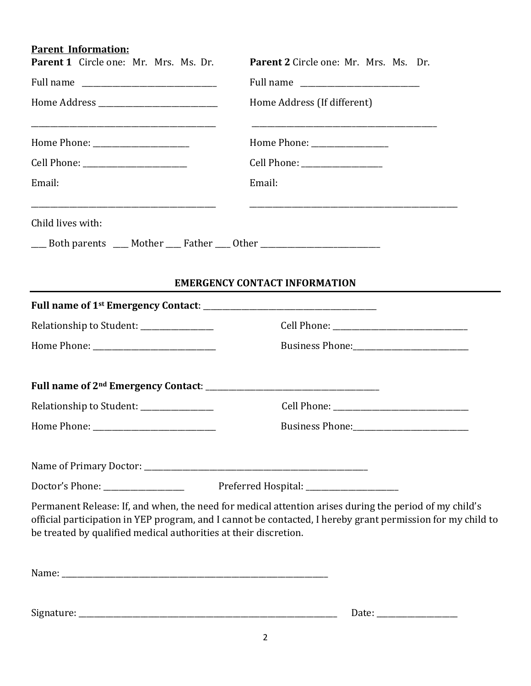## **Parent Information:**

| Parent 1 Circle one: Mr. Mrs. Ms. Dr.                                            | Parent 2 Circle one: Mr. Mrs. Ms. Dr.                                                                                                                                                                                 |  |
|----------------------------------------------------------------------------------|-----------------------------------------------------------------------------------------------------------------------------------------------------------------------------------------------------------------------|--|
|                                                                                  |                                                                                                                                                                                                                       |  |
|                                                                                  | Home Address (If different)                                                                                                                                                                                           |  |
|                                                                                  |                                                                                                                                                                                                                       |  |
|                                                                                  | Cell Phone: _________________                                                                                                                                                                                         |  |
| Email:                                                                           | Email:                                                                                                                                                                                                                |  |
| Child lives with:                                                                |                                                                                                                                                                                                                       |  |
| ___ Both parents ___ Mother ___ Father ___ Other _______________________________ |                                                                                                                                                                                                                       |  |
|                                                                                  |                                                                                                                                                                                                                       |  |
|                                                                                  | <b>EMERGENCY CONTACT INFORMATION</b>                                                                                                                                                                                  |  |
|                                                                                  |                                                                                                                                                                                                                       |  |
| Relationship to Student: ______________                                          |                                                                                                                                                                                                                       |  |
|                                                                                  |                                                                                                                                                                                                                       |  |
|                                                                                  |                                                                                                                                                                                                                       |  |
| Relationship to Student: _______________                                         |                                                                                                                                                                                                                       |  |
|                                                                                  |                                                                                                                                                                                                                       |  |
|                                                                                  |                                                                                                                                                                                                                       |  |
| Doctor's Phone: ________________                                                 | Preferred Hospital: ___________________                                                                                                                                                                               |  |
| be treated by qualified medical authorities at their discretion.                 | Permanent Release: If, and when, the need for medical attention arises during the period of my child's<br>official participation in YEP program, and I cannot be contacted, I hereby grant permission for my child to |  |
|                                                                                  |                                                                                                                                                                                                                       |  |
|                                                                                  |                                                                                                                                                                                                                       |  |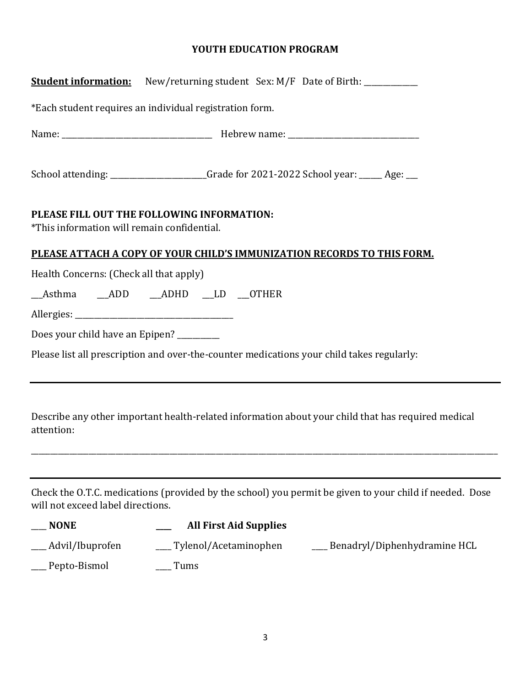#### **YOUTH EDUCATION PROGRAM**

| <b>Student information:</b> New/returning student Sex: M/F Date of Birth: ____________                                                       |  |  |  |  |
|----------------------------------------------------------------------------------------------------------------------------------------------|--|--|--|--|
| *Each student requires an individual registration form.                                                                                      |  |  |  |  |
|                                                                                                                                              |  |  |  |  |
| School attending: ____________________Grade for 2021-2022 School year: _____ Age: __                                                         |  |  |  |  |
| PLEASE FILL OUT THE FOLLOWING INFORMATION:<br>*This information will remain confidential.                                                    |  |  |  |  |
| PLEASE ATTACH A COPY OF YOUR CHILD'S IMMUNIZATION RECORDS TO THIS FORM.                                                                      |  |  |  |  |
| Health Concerns: (Check all that apply)                                                                                                      |  |  |  |  |
| Asthma ADD ADHD LD OTHER                                                                                                                     |  |  |  |  |
|                                                                                                                                              |  |  |  |  |
| Does your child have an Epipen? ________                                                                                                     |  |  |  |  |
| Please list all prescription and over-the-counter medications your child takes regularly:                                                    |  |  |  |  |
|                                                                                                                                              |  |  |  |  |
| Describe any other important health-related information about your child that has required medical<br>attention:                             |  |  |  |  |
|                                                                                                                                              |  |  |  |  |
| Check the O.T.C. medications (provided by the school) you permit be given to your child if needed. Dose<br>will not exceed label directions. |  |  |  |  |
| <b>NONE</b><br><b>All First Aid Supplies</b>                                                                                                 |  |  |  |  |
| Tylenol/Acetaminophen<br>Advil/Ibuprofen<br>Benadryl/Diphenhydramine HCL                                                                     |  |  |  |  |
| Pepto-Bismol<br>Tums                                                                                                                         |  |  |  |  |
|                                                                                                                                              |  |  |  |  |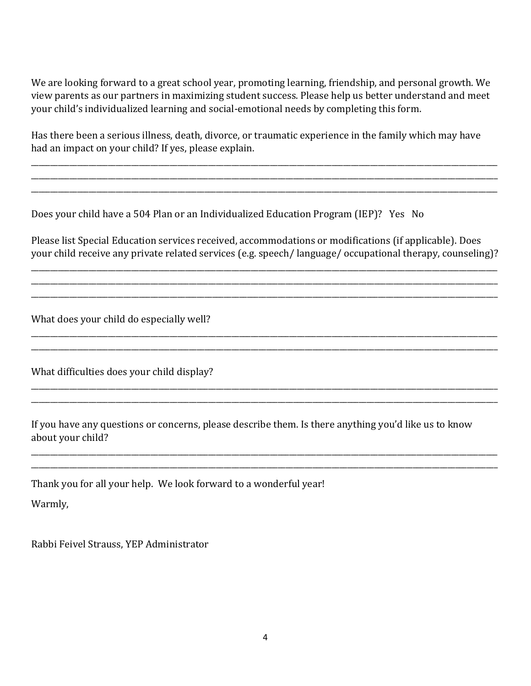We are looking forward to a great school year, promoting learning, friendship, and personal growth. We view parents as our partners in maximizing student success. Please help us better understand and meet your child's individualized learning and social-emotional needs by completing this form.

Has there been a serious illness, death, divorce, or traumatic experience in the family which may have had an impact on your child? If yes, please explain.

\_\_\_\_\_\_\_\_\_\_\_\_\_\_\_\_\_\_\_\_\_\_\_\_\_\_\_\_\_\_\_\_\_\_\_\_\_\_\_\_\_\_\_\_\_\_\_\_\_\_\_\_\_\_\_\_\_\_\_\_\_\_\_\_\_\_\_\_\_\_\_\_\_\_\_\_\_\_\_\_\_\_\_\_\_\_\_\_\_\_\_\_\_\_\_\_\_\_\_\_\_\_\_\_\_\_\_\_\_\_\_\_\_\_\_\_\_\_\_\_\_ \_\_\_\_\_\_\_\_\_\_\_\_\_\_\_\_\_\_\_\_\_\_\_\_\_\_\_\_\_\_\_\_\_\_\_\_\_\_\_\_\_\_\_\_\_\_\_\_\_\_\_\_\_\_\_\_\_\_\_\_\_\_\_\_\_\_\_\_\_\_\_\_\_\_\_\_\_\_\_\_\_\_\_\_\_\_\_\_\_\_\_\_\_\_\_\_\_\_\_\_\_\_\_\_\_\_\_\_\_\_\_\_\_\_\_\_\_\_\_\_\_ \_\_\_\_\_\_\_\_\_\_\_\_\_\_\_\_\_\_\_\_\_\_\_\_\_\_\_\_\_\_\_\_\_\_\_\_\_\_\_\_\_\_\_\_\_\_\_\_\_\_\_\_\_\_\_\_\_\_\_\_\_\_\_\_\_\_\_\_\_\_\_\_\_\_\_\_\_\_\_\_\_\_\_\_\_\_\_\_\_\_\_\_\_\_\_\_\_\_\_\_\_\_\_\_\_\_\_\_\_\_\_\_\_\_\_\_\_\_\_\_\_

Does your child have a 504 Plan or an Individualized Education Program (IEP)? Yes No

Please list Special Education services received, accommodations or modifications (if applicable). Does your child receive any private related services (e.g. speech/ language/ occupational therapy, counseling)?

\_\_\_\_\_\_\_\_\_\_\_\_\_\_\_\_\_\_\_\_\_\_\_\_\_\_\_\_\_\_\_\_\_\_\_\_\_\_\_\_\_\_\_\_\_\_\_\_\_\_\_\_\_\_\_\_\_\_\_\_\_\_\_\_\_\_\_\_\_\_\_\_\_\_\_\_\_\_\_\_\_\_\_\_\_\_\_\_\_\_\_\_\_\_\_\_\_\_\_\_\_\_\_\_\_\_\_\_\_\_\_\_\_\_\_\_\_\_\_\_\_ \_\_\_\_\_\_\_\_\_\_\_\_\_\_\_\_\_\_\_\_\_\_\_\_\_\_\_\_\_\_\_\_\_\_\_\_\_\_\_\_\_\_\_\_\_\_\_\_\_\_\_\_\_\_\_\_\_\_\_\_\_\_\_\_\_\_\_\_\_\_\_\_\_\_\_\_\_\_\_\_\_\_\_\_\_\_\_\_\_\_\_\_\_\_\_\_\_\_\_\_\_\_\_\_\_\_\_\_\_\_\_\_\_\_\_\_\_\_\_\_\_ \_\_\_\_\_\_\_\_\_\_\_\_\_\_\_\_\_\_\_\_\_\_\_\_\_\_\_\_\_\_\_\_\_\_\_\_\_\_\_\_\_\_\_\_\_\_\_\_\_\_\_\_\_\_\_\_\_\_\_\_\_\_\_\_\_\_\_\_\_\_\_\_\_\_\_\_\_\_\_\_\_\_\_\_\_\_\_\_\_\_\_\_\_\_\_\_\_\_\_\_\_\_\_\_\_\_\_\_\_\_\_\_\_\_\_\_\_\_\_\_\_

\_\_\_\_\_\_\_\_\_\_\_\_\_\_\_\_\_\_\_\_\_\_\_\_\_\_\_\_\_\_\_\_\_\_\_\_\_\_\_\_\_\_\_\_\_\_\_\_\_\_\_\_\_\_\_\_\_\_\_\_\_\_\_\_\_\_\_\_\_\_\_\_\_\_\_\_\_\_\_\_\_\_\_\_\_\_\_\_\_\_\_\_\_\_\_\_\_\_\_\_\_\_\_\_\_\_\_\_\_\_\_\_\_\_\_\_\_\_\_\_\_ \_\_\_\_\_\_\_\_\_\_\_\_\_\_\_\_\_\_\_\_\_\_\_\_\_\_\_\_\_\_\_\_\_\_\_\_\_\_\_\_\_\_\_\_\_\_\_\_\_\_\_\_\_\_\_\_\_\_\_\_\_\_\_\_\_\_\_\_\_\_\_\_\_\_\_\_\_\_\_\_\_\_\_\_\_\_\_\_\_\_\_\_\_\_\_\_\_\_\_\_\_\_\_\_\_\_\_\_\_\_\_\_\_\_\_\_\_\_\_\_\_

\_\_\_\_\_\_\_\_\_\_\_\_\_\_\_\_\_\_\_\_\_\_\_\_\_\_\_\_\_\_\_\_\_\_\_\_\_\_\_\_\_\_\_\_\_\_\_\_\_\_\_\_\_\_\_\_\_\_\_\_\_\_\_\_\_\_\_\_\_\_\_\_\_\_\_\_\_\_\_\_\_\_\_\_\_\_\_\_\_\_\_\_\_\_\_\_\_\_\_\_\_\_\_\_\_\_\_\_\_\_\_\_\_\_\_\_\_\_\_\_\_ \_\_\_\_\_\_\_\_\_\_\_\_\_\_\_\_\_\_\_\_\_\_\_\_\_\_\_\_\_\_\_\_\_\_\_\_\_\_\_\_\_\_\_\_\_\_\_\_\_\_\_\_\_\_\_\_\_\_\_\_\_\_\_\_\_\_\_\_\_\_\_\_\_\_\_\_\_\_\_\_\_\_\_\_\_\_\_\_\_\_\_\_\_\_\_\_\_\_\_\_\_\_\_\_\_\_\_\_\_\_\_\_\_\_\_\_\_\_\_\_\_

\_\_\_\_\_\_\_\_\_\_\_\_\_\_\_\_\_\_\_\_\_\_\_\_\_\_\_\_\_\_\_\_\_\_\_\_\_\_\_\_\_\_\_\_\_\_\_\_\_\_\_\_\_\_\_\_\_\_\_\_\_\_\_\_\_\_\_\_\_\_\_\_\_\_\_\_\_\_\_\_\_\_\_\_\_\_\_\_\_\_\_\_\_\_\_\_\_\_\_\_\_\_\_\_\_\_\_\_\_\_\_\_\_\_\_\_\_\_\_\_\_ \_\_\_\_\_\_\_\_\_\_\_\_\_\_\_\_\_\_\_\_\_\_\_\_\_\_\_\_\_\_\_\_\_\_\_\_\_\_\_\_\_\_\_\_\_\_\_\_\_\_\_\_\_\_\_\_\_\_\_\_\_\_\_\_\_\_\_\_\_\_\_\_\_\_\_\_\_\_\_\_\_\_\_\_\_\_\_\_\_\_\_\_\_\_\_\_\_\_\_\_\_\_\_\_\_\_\_\_\_\_\_\_\_\_\_\_\_\_\_\_\_

What does your child do especially well?

What difficulties does your child display?

If you have any questions or concerns, please describe them. Is there anything you'd like us to know about your child?

Thank you for all your help. We look forward to a wonderful year!

Warmly,

Rabbi Feivel Strauss, YEP Administrator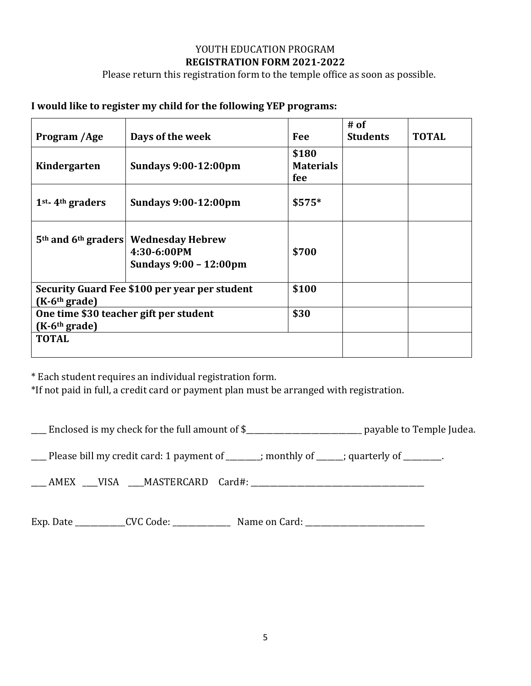#### YOUTH EDUCATION PROGRAM **REGISTRATION FORM 2021-2022**

Please return this registration form to the temple office as soon as possible.

#### **I would like to register my child for the following YEP programs:**

|                                                                  |                                                                                                       |                                  | # of            |              |
|------------------------------------------------------------------|-------------------------------------------------------------------------------------------------------|----------------------------------|-----------------|--------------|
| Program /Age                                                     | Days of the week                                                                                      | Fee                              | <b>Students</b> | <b>TOTAL</b> |
| Kindergarten                                                     | <b>Sundays 9:00-12:00pm</b>                                                                           | \$180<br><b>Materials</b><br>fee |                 |              |
| 1 <sup>st</sup> -4 <sup>th</sup> graders                         | <b>Sundays 9:00-12:00pm</b>                                                                           | \$575*                           |                 |              |
|                                                                  | 5 <sup>th</sup> and 6 <sup>th</sup> graders Wednesday Hebrew<br>4:30-6:00PM<br>Sundays 9:00 - 12:00pm | \$700                            |                 |              |
| Security Guard Fee \$100 per year per student<br>$(K-6th grade)$ |                                                                                                       | \$100                            |                 |              |
| One time \$30 teacher gift per student<br>$(K-6th grade)$        |                                                                                                       | \$30                             |                 |              |
| <b>TOTAL</b>                                                     |                                                                                                       |                                  |                 |              |

\* Each student requires an individual registration form.

\*If not paid in full, a credit card or payment plan must be arranged with registration.

\_\_\_\_ Enclosed is my check for the full amount of \$\_\_\_\_\_\_\_\_\_\_\_\_\_\_\_\_\_\_\_\_\_\_\_\_\_\_\_\_\_\_ payable to Temple Judea.

 $\Box$  Please bill my credit card: 1 payment of  $\Box$  ; monthly of  $\Box$ ; quarterly of  $\Box$ .

\_\_\_\_ AMEX \_\_\_\_VISA \_\_\_\_MASTERCARD Card#: \_\_\_\_\_\_\_\_\_\_\_\_\_\_\_\_\_\_\_\_\_\_\_\_\_\_\_\_\_\_\_\_\_\_\_\_\_\_\_\_\_\_\_\_\_

Exp. Date \_\_\_\_\_\_\_\_\_\_\_\_\_CVC Code: \_\_\_\_\_\_\_\_\_\_\_\_\_\_\_ Name on Card: \_\_\_\_\_\_\_\_\_\_\_\_\_\_\_\_\_\_\_\_\_\_\_\_\_\_\_\_\_\_\_